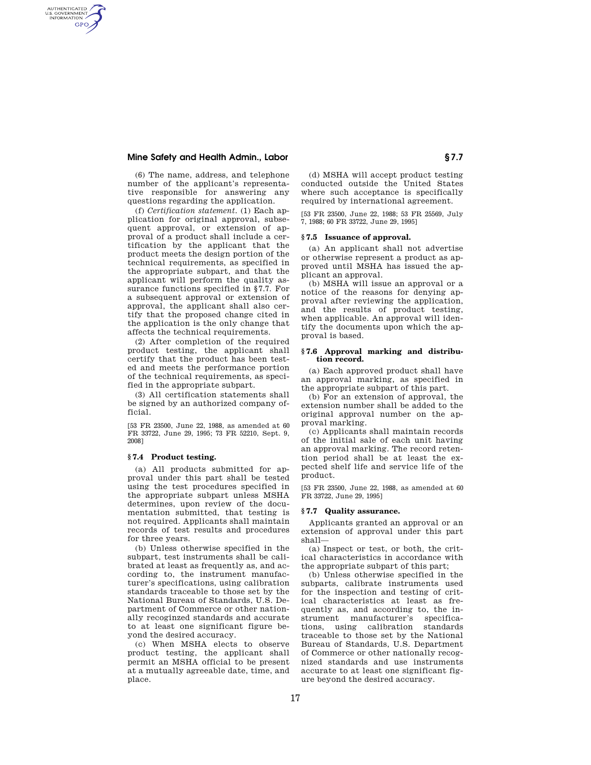# **Mine Safety and Health Admin., Labor § 7.7**

AUTHENTICATED<br>U.S. GOVERNMENT<br>INFORMATION **GPO** 

> (6) The name, address, and telephone number of the applicant's representative responsible for answering any questions regarding the application.

> (f) *Certification statement.* (1) Each application for original approval, subsequent approval, or extension of approval of a product shall include a certification by the applicant that the product meets the design portion of the technical requirements, as specified in the appropriate subpart, and that the applicant will perform the quality assurance functions specified in §7.7. For a subsequent approval or extension of approval, the applicant shall also certify that the proposed change cited in the application is the only change that affects the technical requirements.

> (2) After completion of the required product testing, the applicant shall certify that the product has been tested and meets the performance portion of the technical requirements, as specified in the appropriate subpart.

> (3) All certification statements shall be signed by an authorized company official.

> [53 FR 23500, June 22, 1988, as amended at 60 FR 33722, June 29, 1995; 73 FR 52210, Sept. 9, 2008]

# **§ 7.4 Product testing.**

(a) All products submitted for approval under this part shall be tested using the test procedures specified in the appropriate subpart unless MSHA determines, upon review of the documentation submitted, that testing is not required. Applicants shall maintain records of test results and procedures for three years.

(b) Unless otherwise specified in the subpart, test instruments shall be calibrated at least as frequently as, and according to, the instrument manufacturer's specifications, using calibration standards traceable to those set by the National Bureau of Standards, U.S. Department of Commerce or other nationally recoginzed standards and accurate to at least one significant figure beyond the desired accuracy.

(c) When MSHA elects to observe product testing, the applicant shall permit an MSHA official to be present at a mutually agreeable date, time, and place.

(d) MSHA will accept product testing conducted outside the United States where such acceptance is specifically required by international agreement.

[53 FR 23500, June 22, 1988; 53 FR 25569, July 7, 1988; 60 FR 33722, June 29, 1995]

# **§ 7.5 Issuance of approval.**

(a) An applicant shall not advertise or otherwise represent a product as approved until MSHA has issued the applicant an approval.

(b) MSHA will issue an approval or a notice of the reasons for denying approval after reviewing the application, and the results of product testing, when applicable. An approval will identify the documents upon which the approval is based.

### **§ 7.6 Approval marking and distribution record.**

(a) Each approved product shall have an approval marking, as specified in the appropriate subpart of this part.

(b) For an extension of approval, the extension number shall be added to the original approval number on the approval marking.

(c) Applicants shall maintain records of the initial sale of each unit having an approval marking. The record retention period shall be at least the expected shelf life and service life of the product.

[53 FR 23500, June 22, 1988, as amended at 60 FR 33722, June 29, 1995]

#### **§ 7.7 Quality assurance.**

Applicants granted an approval or an extension of approval under this part shall—

(a) Inspect or test, or both, the critical characteristics in accordance with the appropriate subpart of this part;

(b) Unless otherwise specified in the subparts, calibrate instruments used for the inspection and testing of critical characteristics at least as frequently as, and according to, the in-<br>strument manufacturer's specificastrument manufacturer's tions, using calibration standards traceable to those set by the National Bureau of Standards, U.S. Department of Commerce or other nationally recognized standards and use instruments accurate to at least one significant figure beyond the desired accuracy.